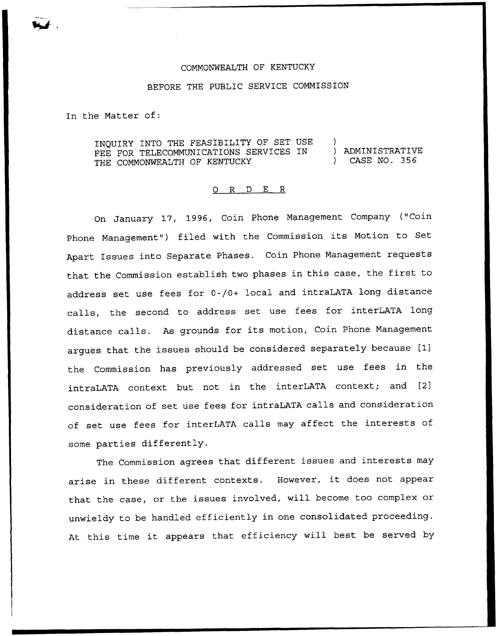## COMMONWEALTH OF KENTUCKY

## BEFORE THE PUBLIC SERVICE COMMISSION

In the Matter of:

INQUIRY INTO THE FEASIBILITY OF SET USE )<br>FFF FOR TELECOMMUNICATIONS SERVICES IN ) ADMINISTRATIVE FEE FOR TELECOMMUNICATIONS SERVICES IN (ADMINISTRATIVE) }<br>THE COMMONWEALTH OF KENTUCKY (2008) THE COMMONWEALTH OF KENTUCKY

## 0 R <sup>D</sup> E R

On January 17, 1996, Coin Phone Management Company ("Coin Phone Management") filed with the Commission its Motion to Set Apart Issues into Separate Phases. Coin Phone Management requests that the Commission establish two phases in this case, the first to address set use fees for 0-/0+ local and intraLATA long distance calls, the second to address set use fees for interLATA long distance calls. As grounds for its motion, Coin Phone Management argues that the issues should be considered separately because [lj the Commission has previously addressed set use fees in the intraLATA context but not in the interLATA context; and [2] consideration of set use fees for intraLATA calls and consideration of set use fees for interLATA calls may affect the interests of some parties differently.

The Commission agrees that different issues and interests may arise in these different contexts. However, it does not appear that the case, or the issues involved, will become too complex or unwieldy to be handled efficiently in one consolidated proceeding. At this time it appears that efficiency will best be served by